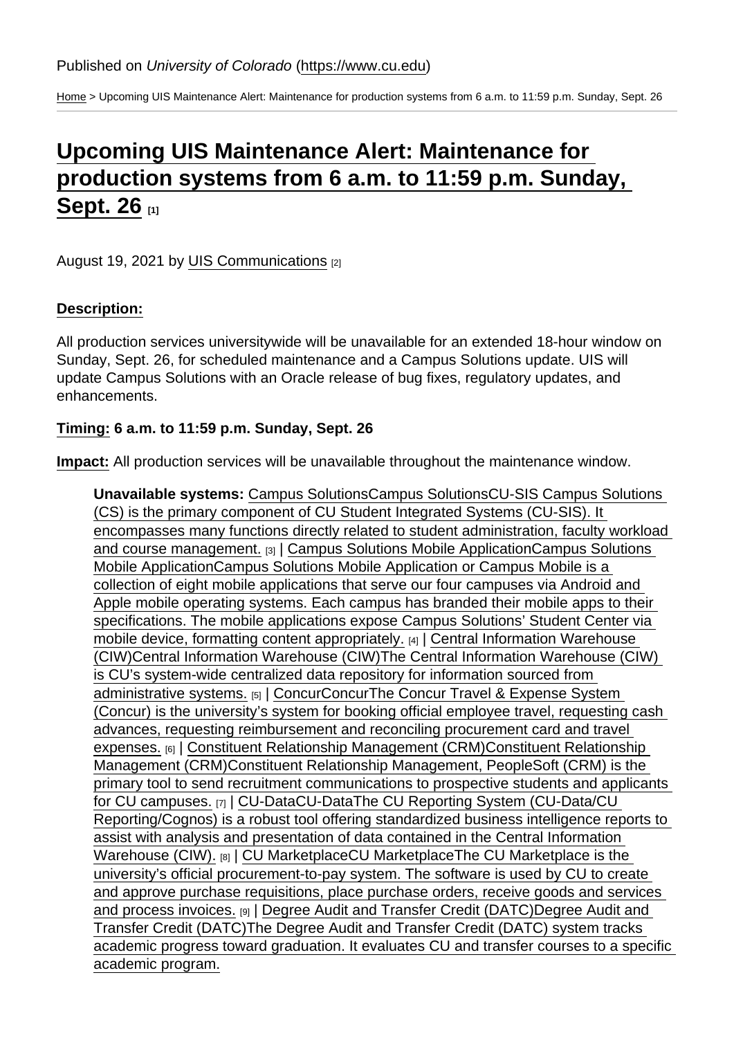[Home](https://www.cu.edu/) > Upcoming UIS Maintenance Alert: Maintenance for production systems from 6 a.m. to 11:59 p.m. Sunday, Sept. 26

## [Upcoming UIS Maintenance Alert: Maintenance for](https://www.cu.edu/blog/maintenance-matters/upcoming-uis-maintenance-alert-maintenance-production-systems-6-am-1159-1)  [production systems from 6 a.m. to 11:59 p.m. Sunday,](https://www.cu.edu/blog/maintenance-matters/upcoming-uis-maintenance-alert-maintenance-production-systems-6-am-1159-1)  [Sept. 26](https://www.cu.edu/blog/maintenance-matters/upcoming-uis-maintenance-alert-maintenance-production-systems-6-am-1159-1) [1]

August 19, 2021 by [UIS Communications](https://www.cu.edu/blog/maintenance-matters/author/28671) [2]

Description:

All production services universitywide will be unavailable for an extended 18-hour window on Sunday, Sept. 26, for scheduled maintenance and a Campus Solutions update. UIS will update Campus Solutions with an Oracle release of bug fixes, regulatory updates, and enhancements.

Timing: 6 a.m. to 11:59 p.m. Sunday, Sept. 26

Impact: All production services will be unavailable throughout the maintenance window.

Unavailable systems: [Campus SolutionsC](https://www.cu.edu/uis-glossary/campus-solutions)ampus SolutionsCU-SIS Campus Solutions (CS) is the primary component of CU Student Integrated Systems (CU-SIS). It encompasses many functions directly related to student administration, faculty workload and course management. [3] | [Campus Solutions Mobile Application](https://www.cu.edu/uis-glossary/campus-solutions-mobile-application)Campus Solutions Mobile ApplicationCampus Solutions Mobile Application or Campus Mobile is a collection of eight mobile applications that serve our four campuses via Android and Apple mobile operating systems. Each campus has branded their mobile apps to their specifications. The mobile applications expose Campus Solutions' Student Center via mobile device, formatting content appropriately. [4] | [Central Information Warehouse](https://www.cu.edu/uis-glossary/central-information-warehouse-ciw)  [\(CIW\)](https://www.cu.edu/uis-glossary/central-information-warehouse-ciw)Central Information Warehouse (CIW)The Central Information Warehouse (CIW) is CU's system-wide centralized data repository for information sourced from administrative systems. [5] | [ConcurC](https://www.cu.edu/uis-glossary/concur)oncurThe Concur Travel & Expense System (Concur) is the university's system for booking official employee travel, requesting cash advances, requesting reimbursement and reconciling procurement card and travel expenses. [6] | [Constituent Relationship Management \(CRM\)C](https://www.cu.edu/uis-glossary/constituent-relationship-management-crm)onstituent Relationship Management (CRM)Constituent Relationship Management, PeopleSoft (CRM) is the primary tool to send recruitment communications to prospective students and applicants for CU campuses. [7] | [CU-DataC](https://www.cu.edu/uis-glossary/cu-data)U-DataThe CU Reporting System (CU-Data/CU Reporting/Cognos) is a robust tool offering standardized business intelligence reports to assist with analysis and presentation of data contained in the Central Information Warehouse (CIW). [8] | [CU MarketplaceC](https://www.cu.edu/uis-glossary/cu-marketplace)U MarketplaceThe CU Marketplace is the university's official procurement-to-pay system. The software is used by CU to create and approve purchase requisitions, place purchase orders, receive goods and services and process invoices. [9] | [Degree Audit and Transfer Credit \(DATC\)](https://www.cu.edu/uis-glossary/degree-audit-and-transfer-credit-datc)Degree Audit and Transfer Credit (DATC)The Degree Audit and Transfer Credit (DATC) system tracks academic progress toward graduation. It evaluates CU and transfer courses to a specific academic program.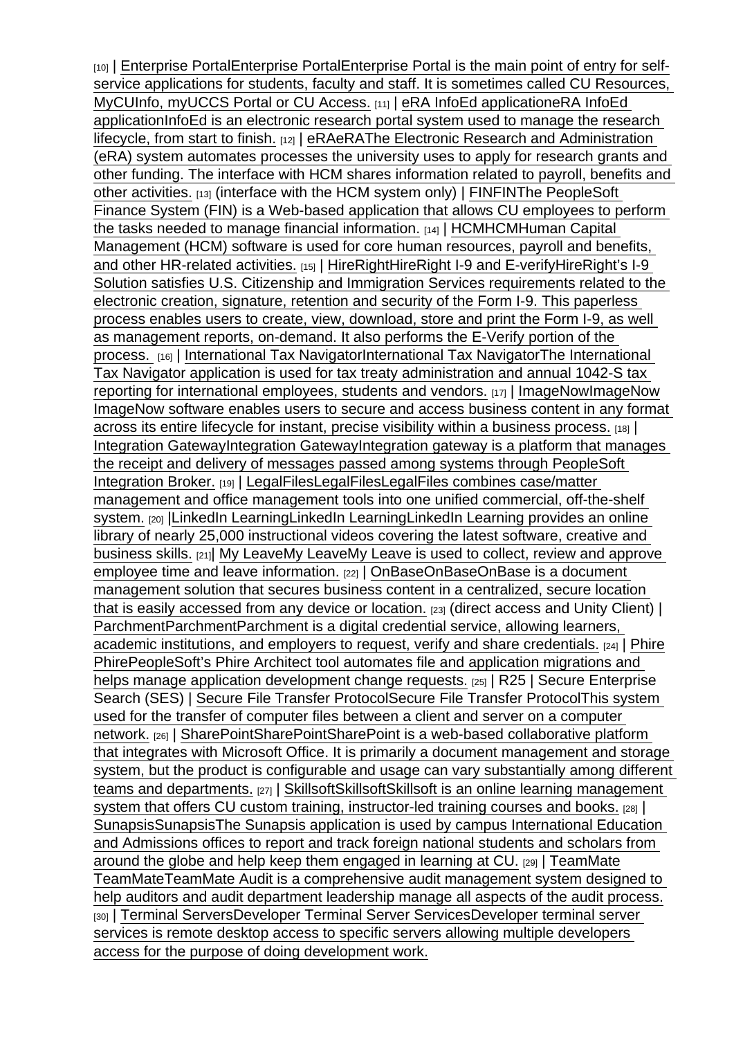[10] | [Enterprise Portal](https://www.cu.edu/uis-glossary/enterprise-portal)Enterprise PortalEnterprise Portal is the main point of entry for selfservice applications for students, faculty and staff. It is sometimes called CU Resources, MyCUInfo, myUCCS Portal or CU Access. [11] | [eRA InfoEd applicatione](https://www.cu.edu/uis-glossary/era-infoed-application)RA InfoEd applicationInfoEd is an electronic research portal system used to manage the research lifecycle, from start to finish. [12] | [eRAe](https://www.cu.edu/uis-glossary/era)RAThe Electronic Research and Administration (eRA) system automates processes the university uses to apply for research grants and other funding. The interface with HCM shares information related to payroll, benefits and other activities. [13] (interface with the HCM system only) | [FINF](https://www.cu.edu/uis-glossary/fin)INThe PeopleSoft Finance System (FIN) is a Web-based application that allows CU employees to perform the tasks needed to manage financial information. [14] | [HCM](https://www.cu.edu/uis-glossary/hcm)HCMHuman Capital Management (HCM) software is used for core human resources, payroll and benefits, and other HR-related activities. [15] [HireRightH](https://www.cu.edu/uis-glossary/hireright-i-9-and-e-verify)ireRight I-9 and E-verifyHireRight's I-9 Solution satisfies U.S. Citizenship and Immigration Services requirements related to the electronic creation, signature, retention and security of the Form I-9. This paperless process enables users to create, view, download, store and print the Form I-9, as well as management reports, on-demand. It also performs the E-Verify portion of the process. [16] | [International Tax NavigatorI](https://www.cu.edu/uis-glossary/international-tax-navigator)nternational Tax NavigatorThe International Tax Navigator application is used for tax treaty administration and annual 1042-S tax reporting for international employees, students and vendors. [17] | [ImageNowI](https://www.cu.edu/uis-glossary/imagenow)mageNow ImageNow software enables users to secure and access business content in any format across its entire lifecycle for instant, precise visibility within a business process. [18] | [Integration Gateway](https://www.cu.edu/uis-glossary/integration-gateway)Integration GatewayIntegration gateway is a platform that manages the receipt and delivery of messages passed among systems through PeopleSoft Integration Broker. [19] | [LegalFilesL](https://www.cu.edu/uis-glossary/legalfiles)egalFilesLegalFiles combines case/matter management and office management tools into one unified commercial, off-the-shelf system. [20] [|LinkedIn LearningL](https://www.cu.edu/uis-glossary/linkedin-learning)inkedIn LearningLinkedIn Learning provides an online library of nearly 25,000 instructional videos covering the latest software, creative and business skills. [21]| [My LeaveM](https://www.cu.edu/uis-glossary/my-leave)y LeaveMy Leave is used to collect, review and approve employee time and leave information. [22] | [OnBaseO](https://www.cu.edu/uis-glossary/onbase)nBaseOnBase is a document management solution that secures business content in a centralized, secure location that is easily accessed from any device or location. [23] (direct access and Unity Client) | [Parchment](https://www.cu.edu/uis-glossary/parchment)ParchmentParchment is a digital credential service, allowing learners, academic institutions, and employers to request, verify and share credentials. [24] | [Phire](https://www.cu.edu/uis-glossary/phire) PhirePeopleSoft's Phire Architect tool automates file and application migrations and helps manage application development change requests. [25] | R25 | Secure Enterprise Search (SES) | [Secure File Transfer Protocol](https://www.cu.edu/uis-glossary/secure-file-transfer-protocol)Secure File Transfer ProtocolThis system used for the transfer of computer files between a client and server on a computer network. [26] | [SharePointS](https://www.cu.edu/uis-glossary/sharepoint)harePointSharePoint is a web-based collaborative platform that integrates with Microsoft Office. It is primarily a document management and storage system, but the product is configurable and usage can vary substantially among different teams and departments. [27] [SkillsoftS](https://www.cu.edu/uis-glossary/skillsoft)killsoftSkillsoft is an online learning management system that offers CU custom training, instructor-led training courses and books. [28] | [Sunapsis](https://www.cu.edu/uis-glossary/sunapsis)SunapsisThe Sunapsis application is used by campus International Education and Admissions offices to report and track foreign national students and scholars from around the globe and help keep them engaged in learning at CU. [29] | [TeamMate](https://www.cu.edu/uis-glossary/teammate) TeamMateTeamMate Audit is a comprehensive audit management system designed to help auditors and audit department leadership manage all aspects of the audit process. [30] | [Terminal Servers](https://www.cu.edu/uis-glossary/developer-terminal-server-services)Developer Terminal Server ServicesDeveloper terminal server services is remote desktop access to specific servers allowing multiple developers access for the purpose of doing development work.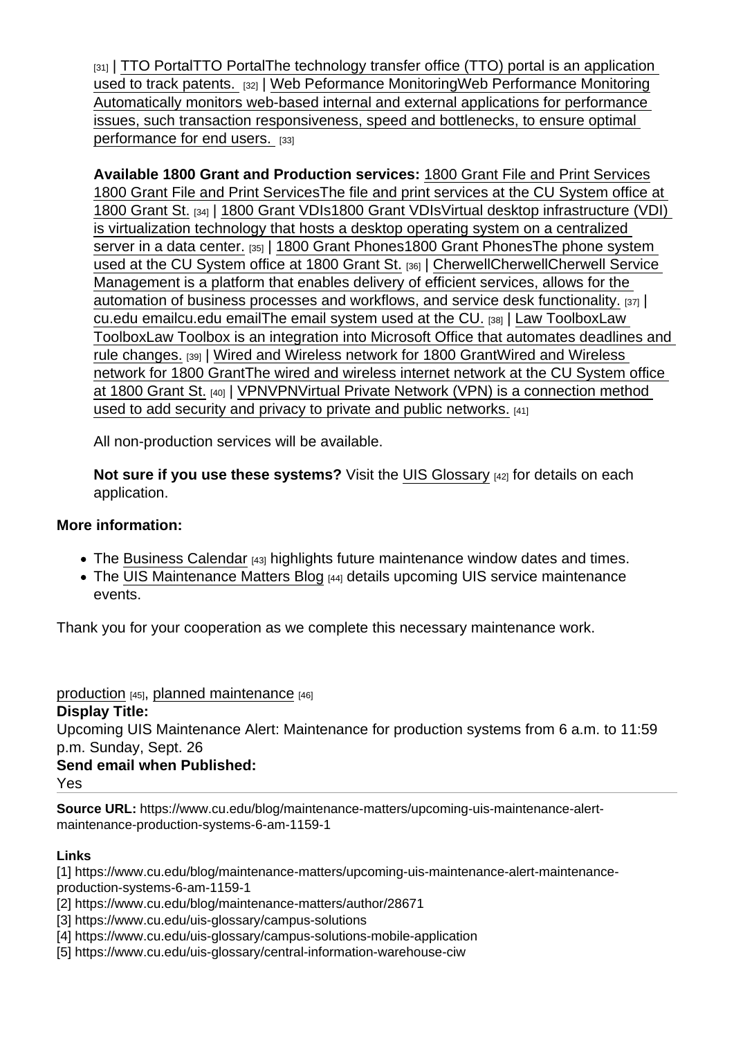$_{[31]}$  | [TTO Portal](https://www.cu.edu/uis-glossary/tto-portal)TTO PortalThe technology transfer office (TTO) portal is an application used to track patents. [32] | [Web Peformance Monitoring](https://www.cu.edu/uis-glossary/web-performance-monitoring)Web Performance Monitoring Automatically monitors web-based internal and external applications for performance issues, such transaction responsiveness, speed and bottlenecks, to ensure optimal performance for end users. [33]

Available 1800 Grant and Production services: [1800 Grant File and Print Services](https://www.cu.edu/uis-glossary/1800-grant-file-and-print-services) 1800 Grant File and Print ServicesThe file and print services at the CU System office at 1800 Grant St. [34] | [1800 Grant VDIs1](https://www.cu.edu/uis-glossary/1800-grant-vdis)800 Grant VDIsVirtual desktop infrastructure (VDI) is virtualization technology that hosts a desktop operating system on a centralized server in a data center. [35] | [1800 Grant Phones1](https://www.cu.edu/uis-glossary/1800-grant-phones)800 Grant PhonesThe phone system used at the CU System office at 1800 Grant St. [36] | [CherwellC](https://www.cu.edu/uis-glossary/cherwell)herwellCherwell Service Management is a platform that enables delivery of efficient services, allows for the automation of business processes and workflows, and service desk functionality. [37] | [cu.edu email](https://www.cu.edu/uis-glossary/cuedu-email)cu.edu emailThe email system used at the CU. [38] | [Law ToolboxL](https://www.cu.edu/uis-glossary/law-toolbox)aw ToolboxLaw Toolbox is an integration into Microsoft Office that automates deadlines and rule changes. [39] | [Wired and Wireless network for 1800 Grant](https://www.cu.edu/uis-glossary/wired-and-wireless-network-1800-grant)Wired and Wireless network for 1800 GrantThe wired and wireless internet network at the CU System office at 1800 Grant St. [40] | [VPN](https://www.cu.edu/uis-glossary/vpn)VPNVirtual Private Network (VPN) is a connection method used to add security and privacy to private and public networks. [41]

All non-production services will be available.

Not sure if you use these systems? Visit the [UIS Glossary](https://www.cu.edu/uis/maintenance-matters-blog/glossary)  $[42]$  for details on each application.

More information:

- The [Business Calendar](https://sp.cu.edu/UIS/Lists/Business Calendar/calendar.aspx) [43] highlights future maintenance window dates and times.
- The [UIS Maintenance Matters Blog](https://www.cu.edu/blog/uis-service-alerts) [44] details upcoming UIS service maintenance events.

Thank you for your cooperation as we complete this necessary maintenance work.

[production](https://www.cu.edu/blog/maintenance-matters/tag/production)  $[45]$ , [planned maintenance](https://www.cu.edu/blog/maintenance-matters/tag/planned-maintenance)  $[46]$ Display Title: Upcoming UIS Maintenance Alert: Maintenance for production systems from 6 a.m. to 11:59 p.m. Sunday, Sept. 26 Send email when Published: Yes

Source URL: https://www.cu.edu/blog/maintenance-matters/upcoming-uis-maintenance-alertmaintenance-production-systems-6-am-1159-1

Links

[1] https://www.cu.edu/blog/maintenance-matters/upcoming-uis-maintenance-alert-maintenanceproduction-systems-6-am-1159-1

[2] https://www.cu.edu/blog/maintenance-matters/author/28671

[3] https://www.cu.edu/uis-glossary/campus-solutions

[4] https://www.cu.edu/uis-glossary/campus-solutions-mobile-application

[5] https://www.cu.edu/uis-glossary/central-information-warehouse-ciw